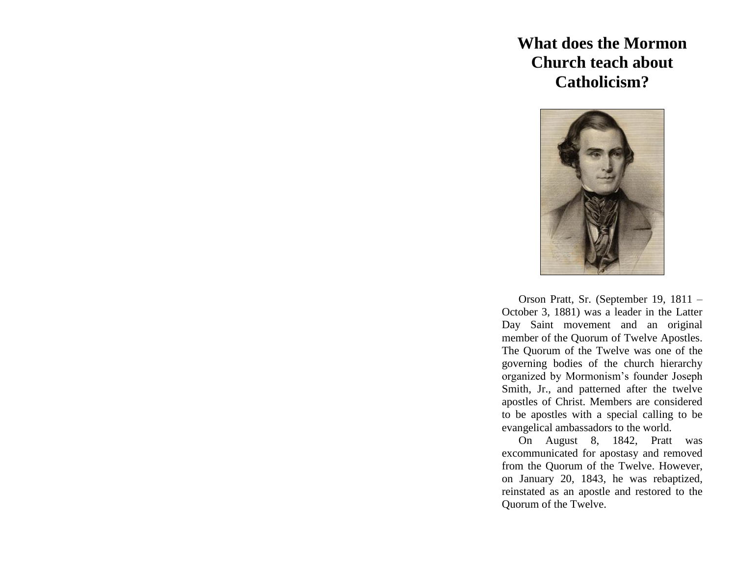## **What does the Mormon Church teach about Catholicism?**



Orson Pratt, Sr. (September 19, 1811 – October 3, 1881) was a leader in the Latter Day Saint movement and an original member of the Quorum of Twelve Apostles. The Quorum of the Twelve was one of the governing bodies of the church hierarchy organized by Mormonism's founder Joseph Smith, Jr., and patterned after the twelve apostles of Christ. Members are considered to be apostles with a special calling to be evangelical ambassadors to the world.

On August 8, 1842, Pratt was excommunicated for apostasy and removed from the Quorum of the Twelve. However, on January 20, 1843, he was rebaptized, reinstated as an apostle and restored to the Quorum of the Twelve.